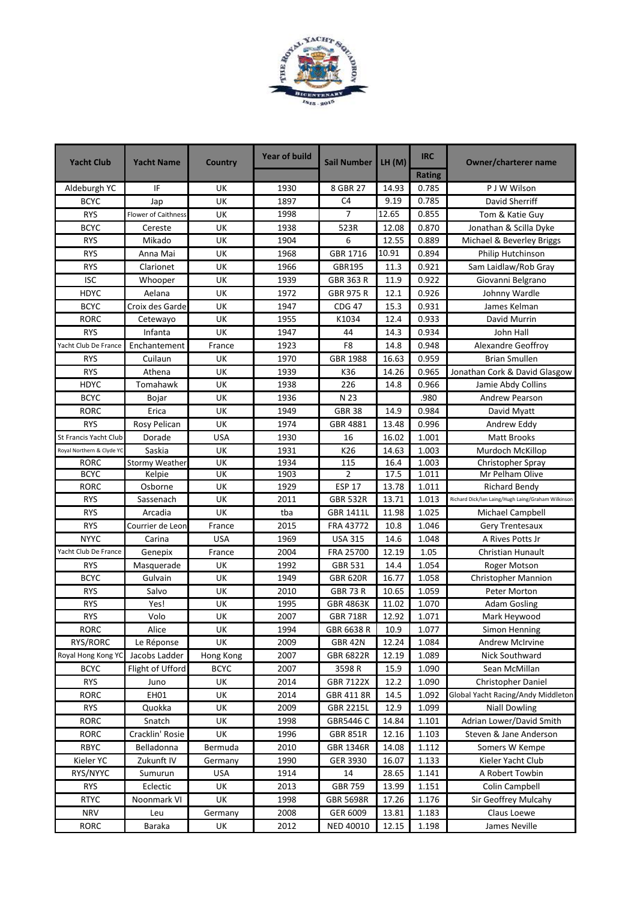

| <b>Yacht Club</b>         | <b>Yacht Name</b>          | <b>Country</b> | <b>Year of build</b> | <b>Sail Number</b> | LH(M) | <b>IRC</b>    | <b>Owner/charterer name</b>                        |
|---------------------------|----------------------------|----------------|----------------------|--------------------|-------|---------------|----------------------------------------------------|
|                           |                            |                |                      |                    |       | <b>Rating</b> |                                                    |
| Aldeburgh YC              | IF                         | UK             | 1930                 | 8 GBR 27           | 14.93 | 0.785         | P J W Wilson                                       |
| <b>BCYC</b>               | Jap                        | UK             | 1897                 | C <sub>4</sub>     | 9.19  | 0.785         | David Sherriff                                     |
| <b>RYS</b>                | <b>Flower of Caithness</b> | UK             | 1998                 | 7                  | 12.65 | 0.855         | Tom & Katie Guy                                    |
| <b>BCYC</b>               | Cereste                    | UK             | 1938                 | 523R               | 12.08 | 0.870         | Jonathan & Scilla Dyke                             |
| <b>RYS</b>                | Mikado                     | UK             | 1904                 | 6                  | 12.55 | 0.889         | Michael & Beverley Briggs                          |
| <b>RYS</b>                | Anna Mai                   | UK             | 1968                 | GBR 1716           | 10.91 | 0.894         | Philip Hutchinson                                  |
| <b>RYS</b>                | Clarionet                  | UK             | 1966                 | GBR195             | 11.3  | 0.921         | Sam Laidlaw/Rob Gray                               |
| <b>ISC</b>                | Whooper                    | UK             | 1939                 | GBR 363 R          | 11.9  | 0.922         | Giovanni Belgrano                                  |
| <b>HDYC</b>               | Aelana                     | UK             | 1972                 | <b>GBR 975 R</b>   | 12.1  | 0.926         | Johnny Wardle                                      |
| <b>BCYC</b>               | Croix des Garde            | UK             | 1947                 | <b>CDG 47</b>      | 15.3  | 0.931         | James Kelman                                       |
| <b>RORC</b>               | Cetewayo                   | UK             | 1955                 | K1034              | 12.4  | 0.933         | David Murrin                                       |
| <b>RYS</b>                | Infanta                    | UK             | 1947                 | 44                 | 14.3  | 0.934         | John Hall                                          |
| Yacht Club De France      | Enchantement               | France         | 1923                 | F8                 | 14.8  | 0.948         | Alexandre Geoffroy                                 |
| <b>RYS</b>                | Cuilaun                    | UK             | 1970                 | GBR 1988           | 16.63 | 0.959         | <b>Brian Smullen</b>                               |
| <b>RYS</b>                | Athena                     | UK             | 1939                 | K36                | 14.26 | 0.965         | Jonathan Cork & David Glasgow                      |
| <b>HDYC</b>               | Tomahawk                   | UK             | 1938                 | 226                | 14.8  | 0.966         | Jamie Abdy Collins                                 |
| <b>BCYC</b>               | Bojar                      | UK             | 1936                 | N 23               |       | .980          | <b>Andrew Pearson</b>                              |
| <b>RORC</b>               | Erica                      | UK             | 1949                 | <b>GBR 38</b>      | 14.9  | 0.984         | David Myatt                                        |
| <b>RYS</b>                | Rosy Pelican               | UK             | 1974                 | GBR 4881           | 13.48 | 0.996         | Andrew Eddy                                        |
| St Francis Yacht Club     | Dorade                     | <b>USA</b>     | 1930                 | 16                 | 16.02 | 1.001         | <b>Matt Brooks</b>                                 |
| Royal Northern & Clyde YC | Saskia                     | UK             | 1931                 | K26                | 14.63 | 1.003         | Murdoch McKillop                                   |
| <b>RORC</b>               | <b>Stormy Weather</b>      | UK             | 1934                 | 115                | 16.4  | 1.003         | Christopher Spray                                  |
| <b>BCYC</b>               | Kelpie                     | UK             | 1903                 | $\overline{2}$     | 17.5  | 1.011         | Mr Pelham Olive                                    |
| <b>RORC</b>               | Osborne                    | UK             | 1929                 | <b>ESP 17</b>      | 13.78 | 1.011         | <b>Richard Bendy</b>                               |
| <b>RYS</b>                | Sassenach                  | UK             | 2011                 | <b>GBR 532R</b>    | 13.71 | 1.013         | Richard Dick/Ian Laing/Hugh Laing/Graham Wilkinson |
| <b>RYS</b>                | Arcadia                    | <b>UK</b>      | tba                  | <b>GBR 1411L</b>   | 11.98 | 1.025         | Michael Campbell                                   |
| <b>RYS</b>                | Courrier de Leon           | France         | 2015                 | FRA 43772          | 10.8  | 1.046         | Gery Trentesaux                                    |
| <b>NYYC</b>               | Carina                     | <b>USA</b>     | 1969                 | <b>USA 315</b>     | 14.6  | 1.048         | A Rives Potts Jr                                   |
| Yacht Club De France      | Genepix                    | France         | 2004                 | FRA 25700          | 12.19 | 1.05          | <b>Christian Hunault</b>                           |
| <b>RYS</b>                | Masquerade                 | UK             | 1992                 | GBR 531            | 14.4  | 1.054         | Roger Motson                                       |
| <b>BCYC</b>               | Gulvain                    | UK             | 1949                 | <b>GBR 620R</b>    | 16.77 | 1.058         | <b>Christopher Mannion</b>                         |
| <b>RYS</b>                | Salvo                      | UK             | 2010                 | <b>GBR 73 R</b>    | 10.65 | 1.059         | Peter Morton                                       |
| <b>RYS</b>                | Yes!                       | UK             | 1995                 | <b>GBR 4863K</b>   | 11.02 | 1.070         | <b>Adam Gosling</b>                                |
| <b>RYS</b>                | Volo                       | UK             | 2007                 | <b>GBR 718R</b>    | 12.92 | 1.071         | Mark Heywood                                       |
| RORC                      | Alice                      | UK             | 1994                 | GBR 6638 R         | 10.9  | 1.077         | Simon Henning                                      |
| RYS/RORC                  | Le Réponse                 | UK             | 2009                 | <b>GBR 42N</b>     | 12.24 | 1.084         | <b>Andrew McIrvine</b>                             |
| Royal Hong Kong YC        | Jacobs Ladder              | Hong Kong      | 2007                 | GBR 6822R          | 12.19 | 1.089         | Nick Southward                                     |
| <b>BCYC</b>               | Flight of Ufford           | <b>BCYC</b>    | 2007                 | 3598R              | 15.9  | 1.090         | Sean McMillan                                      |
| <b>RYS</b>                | Juno                       | UK             | 2014                 | <b>GBR 7122X</b>   | 12.2  | 1.090         | Christopher Daniel                                 |
| <b>RORC</b>               | EH01                       | UK             | 2014                 | GBR 411 8R         | 14.5  | 1.092         | Global Yacht Racing/Andy Middleton                 |
| <b>RYS</b>                | Quokka                     | UK             | 2009                 | <b>GBR 2215L</b>   | 12.9  | 1.099         | <b>Niall Dowling</b>                               |
| RORC                      | Snatch                     | UK             | 1998                 | GBR5446 C          | 14.84 | 1.101         | Adrian Lower/David Smith                           |
| <b>RORC</b>               | Cracklin' Rosie            | UK             | 1996                 | <b>GBR 851R</b>    | 12.16 | 1.103         | Steven & Jane Anderson                             |
| RBYC                      | Belladonna                 | Bermuda        | 2010                 | GBR 1346R          | 14.08 | 1.112         | Somers W Kempe                                     |
| Kieler YC                 | Zukunft IV                 | Germany        | 1990                 | GER 3930           | 16.07 | 1.133         | Kieler Yacht Club                                  |
| RYS/NYYC                  | Sumurun                    | <b>USA</b>     | 1914                 | 14                 | 28.65 | 1.141         | A Robert Towbin                                    |
| <b>RYS</b>                | Eclectic                   | UK             | 2013                 | <b>GBR 759</b>     | 13.99 | 1.151         | Colin Campbell                                     |
| <b>RTYC</b>               | Noonmark VI                | UK             | 1998                 | <b>GBR 5698R</b>   | 17.26 | 1.176         | Sir Geoffrey Mulcahy                               |
|                           |                            |                |                      |                    |       |               |                                                    |
| <b>NRV</b>                | Leu                        | Germany        | 2008                 | GER 6009           | 13.81 | 1.183         | Claus Loewe                                        |
| RORC                      | Baraka                     | UK             | 2012                 | NED 40010          | 12.15 | 1.198         | James Neville                                      |